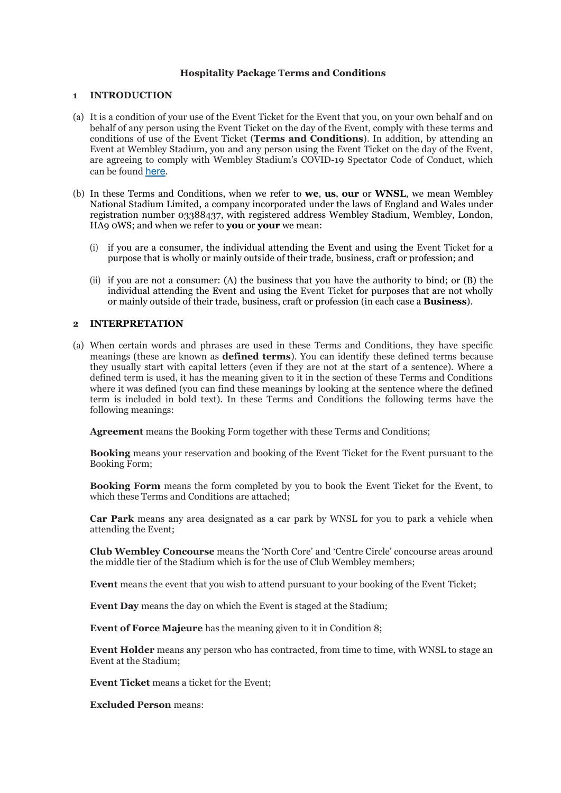### **Hospitality Package Terms and Conditions**

#### **1 INTRODUCTION**

- (a) It is a condition of your use of the Event Ticket for the Event that you, on your own behalf and on behalf of any person using the Event Ticket on the day of the Event, comply with these terms and conditions of use of the Event Ticket (**Terms and Conditions**). In addition, by attending an Event at Wembley Stadium, you and any person using the Event Ticket on the day of the Event, are agreeing to comply with Wembley Stadium's COVID-19 Spectator Code of Conduct, which can be found [here](http://ticketingcontent.thefa.com/Public/Spectator-Code-of-Conduct).
- (b) In these Terms and Conditions, when we refer to **we**, **us**, **our** or **WNSL**, we mean Wembley National Stadium Limited, a company incorporated under the laws of England and Wales under registration number 03388437, with registered address Wembley Stadium, Wembley, London, HA9 0WS; and when we refer to **you** or **your** we mean:
	- (i) if you are a consumer, the individual attending the Event and using the Event Ticket for a purpose that is wholly or mainly outside of their trade, business, craft or profession; and
	- (ii) if you are not a consumer: (A) the business that you have the authority to bind; or (B) the individual attending the Event and using the Event Ticket for purposes that are not wholly or mainly outside of their trade, business, craft or profession (in each case a **Business**).

#### **2 INTERPRETATION**

(a) When certain words and phrases are used in these Terms and Conditions, they have specific meanings (these are known as **defined terms**). You can identify these defined terms because they usually start with capital letters (even if they are not at the start of a sentence). Where a defined term is used, it has the meaning given to it in the section of these Terms and Conditions where it was defined (you can find these meanings by looking at the sentence where the defined term is included in bold text). In these Terms and Conditions the following terms have the following meanings:

**Agreement** means the Booking Form together with these Terms and Conditions;

**Booking** means your reservation and booking of the Event Ticket for the Event pursuant to the Booking Form;

**Booking Form** means the form completed by you to book the Event Ticket for the Event, to which these Terms and Conditions are attached;

**Car Park** means any area designated as a car park by WNSL for you to park a vehicle when attending the Event;

**Club Wembley Concourse** means the 'North Core' and 'Centre Circle' concourse areas around the middle tier of the Stadium which is for the use of Club Wembley members;

**Event** means the event that you wish to attend pursuant to your booking of the Event Ticket;

**Event Day** means the day on which the Event is staged at the Stadium;

**Event of Force Majeure** has the meaning given to it in Condition 8;

**Event Holder** means any person who has contracted, from time to time, with WNSL to stage an Event at the Stadium;

**Event Ticket** means a ticket for the Event;

**Excluded Person** means: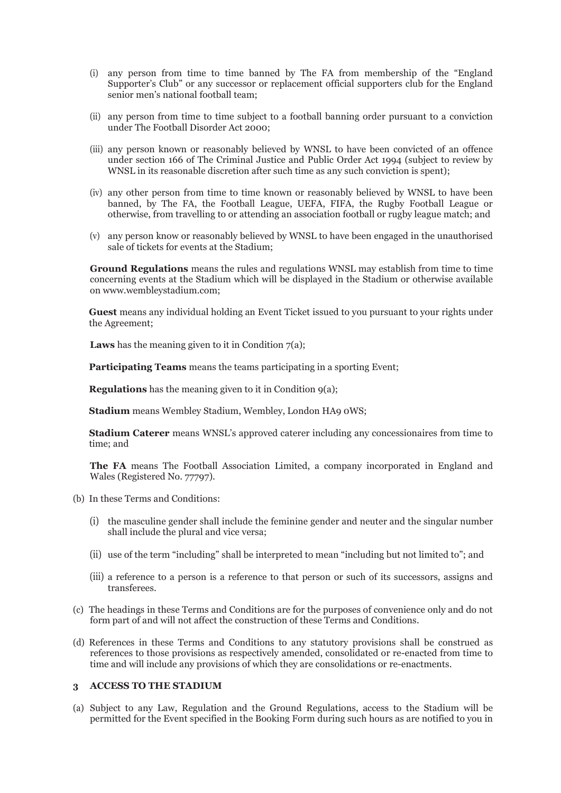- (i) any person from time to time banned by The FA from membership of the "England Supporter's Club" or any successor or replacement official supporters club for the England senior men's national football team;
- (ii) any person from time to time subject to a football banning order pursuant to a conviction under The Football Disorder Act 2000;
- (iii) any person known or reasonably believed by WNSL to have been convicted of an offence under section 166 of The Criminal Justice and Public Order Act 1994 (subject to review by WNSL in its reasonable discretion after such time as any such conviction is spent);
- (iv) any other person from time to time known or reasonably believed by WNSL to have been banned, by The FA, the Football League, UEFA, FIFA, the Rugby Football League or otherwise, from travelling to or attending an association football or rugby league match; and
- (v) any person know or reasonably believed by WNSL to have been engaged in the unauthorised sale of tickets for events at the Stadium;

**Ground Regulations** means the rules and regulations WNSL may establish from time to time concerning events at the Stadium which will be displayed in the Stadium or otherwise available on www.wembleystadium.com;

**Guest** means any individual holding an Event Ticket issued to you pursuant to your rights under the Agreement;

**Laws** has the meaning given to it in Condition  $7(a)$ ;

**Participating Teams** means the teams participating in a sporting Event:

**Regulations** has the meaning given to it in Condition 9(a);

**Stadium** means Wembley Stadium, Wembley, London HA9 0WS;

**Stadium Caterer** means WNSL's approved caterer including any concessionaires from time to time; and

**The FA** means The Football Association Limited, a company incorporated in England and Wales (Registered No. 77797).

- (b) In these Terms and Conditions:
	- (i) the masculine gender shall include the feminine gender and neuter and the singular number shall include the plural and vice versa;
	- (ii) use of the term "including" shall be interpreted to mean "including but not limited to"; and
	- (iii) a reference to a person is a reference to that person or such of its successors, assigns and transferees.
- (c) The headings in these Terms and Conditions are for the purposes of convenience only and do not form part of and will not affect the construction of these Terms and Conditions.
- (d) References in these Terms and Conditions to any statutory provisions shall be construed as references to those provisions as respectively amended, consolidated or re-enacted from time to time and will include any provisions of which they are consolidations or re-enactments.

# **3 ACCESS TO THE STADIUM**

(a) Subject to any Law, Regulation and the Ground Regulations, access to the Stadium will be permitted for the Event specified in the Booking Form during such hours as are notified to you in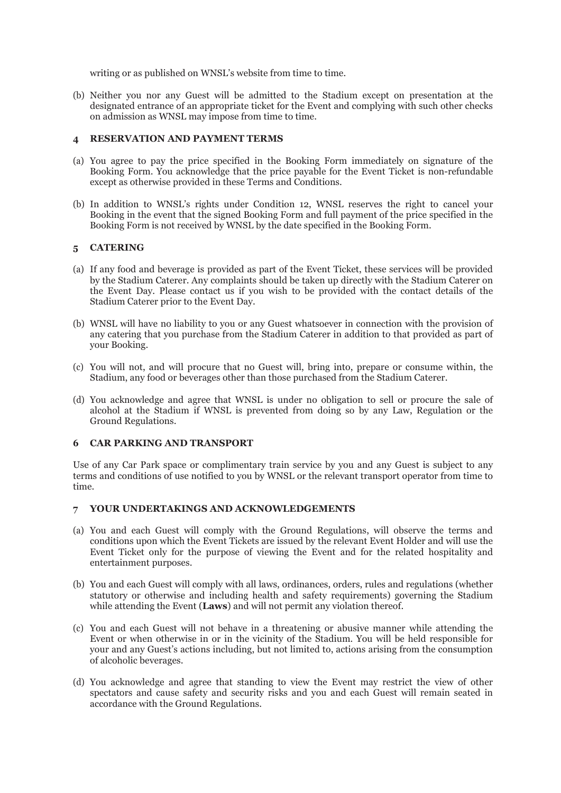writing or as published on WNSL's website from time to time.

(b) Neither you nor any Guest will be admitted to the Stadium except on presentation at the designated entrance of an appropriate ticket for the Event and complying with such other checks on admission as WNSL may impose from time to time.

### **4 RESERVATION AND PAYMENT TERMS**

- (a) You agree to pay the price specified in the Booking Form immediately on signature of the Booking Form. You acknowledge that the price payable for the Event Ticket is non-refundable except as otherwise provided in these Terms and Conditions.
- (b) In addition to WNSL's rights under Condition 12, WNSL reserves the right to cancel your Booking in the event that the signed Booking Form and full payment of the price specified in the Booking Form is not received by WNSL by the date specified in the Booking Form.

## **5 CATERING**

- (a) If any food and beverage is provided as part of the Event Ticket, these services will be provided by the Stadium Caterer. Any complaints should be taken up directly with the Stadium Caterer on the Event Day. Please contact us if you wish to be provided with the contact details of the Stadium Caterer prior to the Event Day.
- (b) WNSL will have no liability to you or any Guest whatsoever in connection with the provision of any catering that you purchase from the Stadium Caterer in addition to that provided as part of your Booking.
- (c) You will not, and will procure that no Guest will, bring into, prepare or consume within, the Stadium, any food or beverages other than those purchased from the Stadium Caterer.
- (d) You acknowledge and agree that WNSL is under no obligation to sell or procure the sale of alcohol at the Stadium if WNSL is prevented from doing so by any Law, Regulation or the Ground Regulations.

## **6 CAR PARKING AND TRANSPORT**

Use of any Car Park space or complimentary train service by you and any Guest is subject to any terms and conditions of use notified to you by WNSL or the relevant transport operator from time to time.

## **7 YOUR UNDERTAKINGS AND ACKNOWLEDGEMENTS**

- (a) You and each Guest will comply with the Ground Regulations, will observe the terms and conditions upon which the Event Tickets are issued by the relevant Event Holder and will use the Event Ticket only for the purpose of viewing the Event and for the related hospitality and entertainment purposes.
- (b) You and each Guest will comply with all laws, ordinances, orders, rules and regulations (whether statutory or otherwise and including health and safety requirements) governing the Stadium while attending the Event (**Laws**) and will not permit any violation thereof.
- (c) You and each Guest will not behave in a threatening or abusive manner while attending the Event or when otherwise in or in the vicinity of the Stadium. You will be held responsible for your and any Guest's actions including, but not limited to, actions arising from the consumption of alcoholic beverages.
- (d) You acknowledge and agree that standing to view the Event may restrict the view of other spectators and cause safety and security risks and you and each Guest will remain seated in accordance with the Ground Regulations.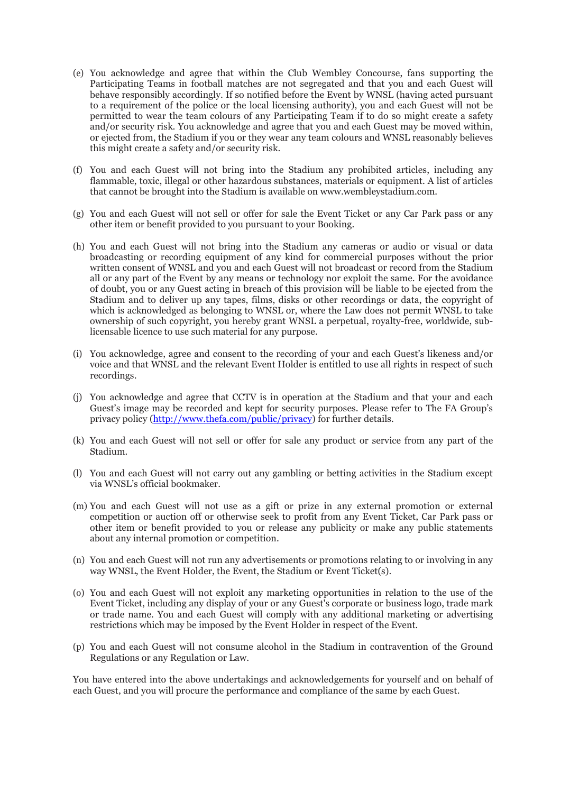- (e) You acknowledge and agree that within the Club Wembley Concourse, fans supporting the Participating Teams in football matches are not segregated and that you and each Guest will behave responsibly accordingly. If so notified before the Event by WNSL (having acted pursuant to a requirement of the police or the local licensing authority), you and each Guest will not be permitted to wear the team colours of any Participating Team if to do so might create a safety and/or security risk. You acknowledge and agree that you and each Guest may be moved within, or ejected from, the Stadium if you or they wear any team colours and WNSL reasonably believes this might create a safety and/or security risk.
- (f) You and each Guest will not bring into the Stadium any prohibited articles, including any flammable, toxic, illegal or other hazardous substances, materials or equipment. A list of articles that cannot be brought into the Stadium is available on [www.wembleystadium.com.](http://www.wembleystadium.com/)
- (g) You and each Guest will not sell or offer for sale the Event Ticket or any Car Park pass or any other item or benefit provided to you pursuant to your Booking.
- (h) You and each Guest will not bring into the Stadium any cameras or audio or visual or data broadcasting or recording equipment of any kind for commercial purposes without the prior written consent of WNSL and you and each Guest will not broadcast or record from the Stadium all or any part of the Event by any means or technology nor exploit the same. For the avoidance of doubt, you or any Guest acting in breach of this provision will be liable to be ejected from the Stadium and to deliver up any tapes, films, disks or other recordings or data, the copyright of which is acknowledged as belonging to WNSL or, where the Law does not permit WNSL to take ownership of such copyright, you hereby grant WNSL a perpetual, royalty-free, worldwide, sublicensable licence to use such material for any purpose.
- (i) You acknowledge, agree and consent to the recording of your and each Guest's likeness and/or voice and that WNSL and the relevant Event Holder is entitled to use all rights in respect of such recordings.
- (j) You acknowledge and agree that CCTV is in operation at the Stadium and that your and each Guest's image may be recorded and kept for security purposes. Please refer to The FA Group's privacy policy [\(http://www.thefa.com/public/privacy\)](http://www.thefa.com/public/privacy) for further details.
- (k) You and each Guest will not sell or offer for sale any product or service from any part of the Stadium.
- (l) You and each Guest will not carry out any gambling or betting activities in the Stadium except via WNSL's official bookmaker.
- (m) You and each Guest will not use as a gift or prize in any external promotion or external competition or auction off or otherwise seek to profit from any Event Ticket, Car Park pass or other item or benefit provided to you or release any publicity or make any public statements about any internal promotion or competition.
- (n) You and each Guest will not run any advertisements or promotions relating to or involving in any way WNSL, the Event Holder, the Event, the Stadium or Event Ticket(s).
- (o) You and each Guest will not exploit any marketing opportunities in relation to the use of the Event Ticket, including any display of your or any Guest's corporate or business logo, trade mark or trade name. You and each Guest will comply with any additional marketing or advertising restrictions which may be imposed by the Event Holder in respect of the Event.
- (p) You and each Guest will not consume alcohol in the Stadium in contravention of the Ground Regulations or any Regulation or Law.

You have entered into the above undertakings and acknowledgements for yourself and on behalf of each Guest, and you will procure the performance and compliance of the same by each Guest.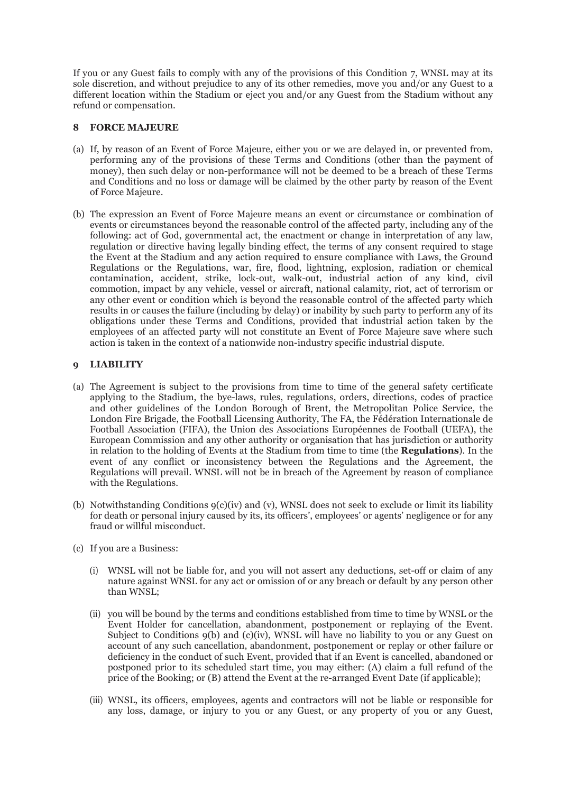If you or any Guest fails to comply with any of the provisions of this Condition 7, WNSL may at its sole discretion, and without prejudice to any of its other remedies, move you and/or any Guest to a different location within the Stadium or eject you and/or any Guest from the Stadium without any refund or compensation.

### **8 FORCE MAJEURE**

- (a) If, by reason of an Event of Force Majeure, either you or we are delayed in, or prevented from, performing any of the provisions of these Terms and Conditions (other than the payment of money), then such delay or non-performance will not be deemed to be a breach of these Terms and Conditions and no loss or damage will be claimed by the other party by reason of the Event of Force Majeure.
- (b) The expression an Event of Force Majeure means an event or circumstance or combination of events or circumstances beyond the reasonable control of the affected party, including any of the following: act of God, governmental act, the enactment or change in interpretation of any law, regulation or directive having legally binding effect, the terms of any consent required to stage the Event at the Stadium and any action required to ensure compliance with Laws, the Ground Regulations or the Regulations, war, fire, flood, lightning, explosion, radiation or chemical contamination, accident, strike, lock-out, walk-out, industrial action of any kind, civil commotion, impact by any vehicle, vessel or aircraft, national calamity, riot, act of terrorism or any other event or condition which is beyond the reasonable control of the affected party which results in or causes the failure (including by delay) or inability by such party to perform any of its obligations under these Terms and Conditions, provided that industrial action taken by the employees of an affected party will not constitute an Event of Force Majeure save where such action is taken in the context of a nationwide non-industry specific industrial dispute.

## **9 LIABILITY**

- (a) The Agreement is subject to the provisions from time to time of the general safety certificate applying to the Stadium, the bye-laws, rules, regulations, orders, directions, codes of practice and other guidelines of the London Borough of Brent, the Metropolitan Police Service, the London Fire Brigade, the Football Licensing Authority, The FA, the Fédération Internationale de Football Association (FIFA), the Union des Associations Européennes de Football (UEFA), the European Commission and any other authority or organisation that has jurisdiction or authority in relation to the holding of Events at the Stadium from time to time (the **Regulations**). In the event of any conflict or inconsistency between the Regulations and the Agreement, the Regulations will prevail. WNSL will not be in breach of the Agreement by reason of compliance with the Regulations.
- (b) Notwithstanding Conditions 9(c)(iv) and (v), WNSL does not seek to exclude or limit its liability for death or personal injury caused by its, its officers', employees' or agents' negligence or for any fraud or willful misconduct.
- (c) If you are a Business:
	- (i) WNSL will not be liable for, and you will not assert any deductions, set-off or claim of any nature against WNSL for any act or omission of or any breach or default by any person other than WNSL;
	- (ii) you will be bound by the terms and conditions established from time to time by WNSL or the Event Holder for cancellation, abandonment, postponement or replaying of the Event. Subject to Conditions 9(b) and (c)(iv), WNSL will have no liability to you or any Guest on account of any such cancellation, abandonment, postponement or replay or other failure or deficiency in the conduct of such Event, provided that if an Event is cancelled, abandoned or postponed prior to its scheduled start time, you may either: (A) claim a full refund of the price of the Booking; or (B) attend the Event at the re-arranged Event Date (if applicable);
	- (iii) WNSL, its officers, employees, agents and contractors will not be liable or responsible for any loss, damage, or injury to you or any Guest, or any property of you or any Guest,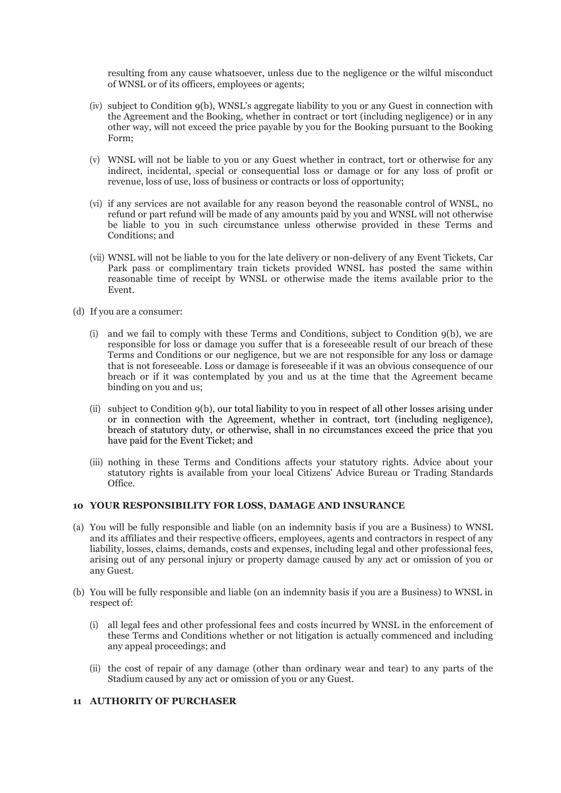resulting from any cause whatsoever, unless due to the negligence or the wilful misconduct of WNSL or of its officers, employees or agents;

- (iv) subject to Condition 9(b), WNSL's aggregate liability to you or any Guest in connection with the Agreement and the Booking, whether in contract or tort (including negligence) or in any other way, will not exceed the price payable by you for the Booking pursuant to the Booking Form;
- (v) WNSL will not be liable to you or any Guest whether in contract, tort or otherwise for any indirect, incidental, special or consequential loss or damage or for any loss of profit or revenue, loss of use, loss of business or contracts or loss of opportunity;
- (vi) if any services are not available for any reason beyond the reasonable control of WNSL, no refund or part refund will be made of any amounts paid by you and WNSL will not otherwise be liable to you in such circumstance unless otherwise provided in these Terms and Conditions; and
- (vii) WNSL will not be liable to you for the late delivery or non-delivery of any Event Tickets, Car Park pass or complimentary train tickets provided WNSL has posted the same within reasonable time of receipt by WNSL or otherwise made the items available prior to the Event.
- (d) If you are a consumer:
	- (i) and we fail to comply with these Terms and Conditions, subject to Condition 9(b), we are responsible for loss or damage you suffer that is a foreseeable result of our breach of these Terms and Conditions or our negligence, but we are not responsible for any loss or damage that is not foreseeable. Loss or damage is foreseeable if it was an obvious consequence of our breach or if it was contemplated by you and us at the time that the Agreement became binding on you and us;
	- (ii) subject to Condition 9(b), our total liability to you in respect of all other losses arising under or in connection with the Agreement, whether in contract, tort (including negligence), breach of statutory duty, or otherwise, shall in no circumstances exceed the price that you have paid for the Event Ticket; and
	- (iii) nothing in these Terms and Conditions affects your statutory rights. Advice about your statutory rights is available from your local Citizens' Advice Bureau or Trading Standards Office.

## **10 YOUR RESPONSIBILITY FOR LOSS, DAMAGE AND INSURANCE**

- (a) You will be fully responsible and liable (on an indemnity basis if you are a Business) to WNSL and its affiliates and their respective officers, employees, agents and contractors in respect of any liability, losses, claims, demands, costs and expenses, including legal and other professional fees, arising out of any personal injury or property damage caused by any act or omission of you or any Guest.
- (b) You will be fully responsible and liable (on an indemnity basis if you are a Business) to WNSL in respect of:
	- (i) all legal fees and other professional fees and costs incurred by WNSL in the enforcement of these Terms and Conditions whether or not litigation is actually commenced and including any appeal proceedings; and
	- (ii) the cost of repair of any damage (other than ordinary wear and tear) to any parts of the Stadium caused by any act or omission of you or any Guest.

## **11 AUTHORITY OF PURCHASER**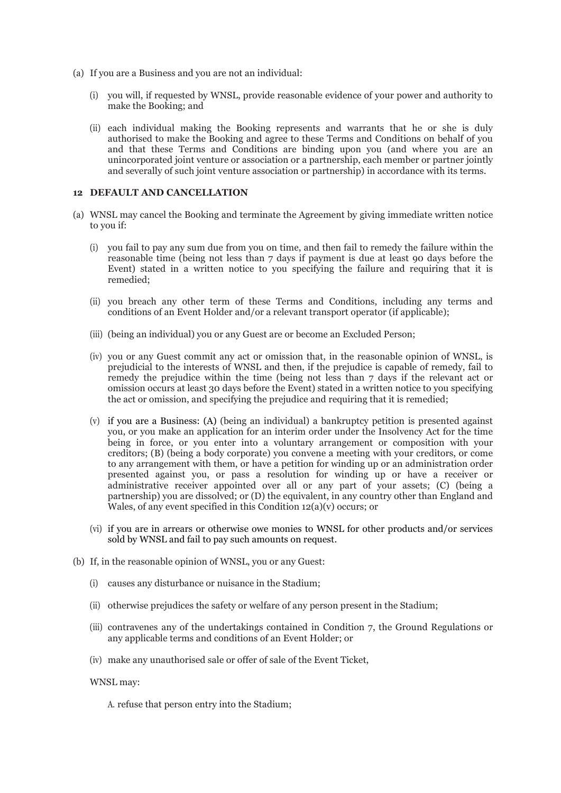- (a) If you are a Business and you are not an individual:
	- (i) you will, if requested by WNSL, provide reasonable evidence of your power and authority to make the Booking; and
	- (ii) each individual making the Booking represents and warrants that he or she is duly authorised to make the Booking and agree to these Terms and Conditions on behalf of you and that these Terms and Conditions are binding upon you (and where you are an unincorporated joint venture or association or a partnership, each member or partner jointly and severally of such joint venture association or partnership) in accordance with its terms.

#### **12 DEFAULT AND CANCELLATION**

- (a) WNSL may cancel the Booking and terminate the Agreement by giving immediate written notice to you if:
	- (i) you fail to pay any sum due from you on time, and then fail to remedy the failure within the reasonable time (being not less than 7 days if payment is due at least 90 days before the Event) stated in a written notice to you specifying the failure and requiring that it is remedied;
	- (ii) you breach any other term of these Terms and Conditions, including any terms and conditions of an Event Holder and/or a relevant transport operator (if applicable);
	- (iii) (being an individual) you or any Guest are or become an Excluded Person;
	- (iv) you or any Guest commit any act or omission that, in the reasonable opinion of WNSL, is prejudicial to the interests of WNSL and then, if the prejudice is capable of remedy, fail to remedy the prejudice within the time (being not less than 7 days if the relevant act or omission occurs at least 30 days before the Event) stated in a written notice to you specifying the act or omission, and specifying the prejudice and requiring that it is remedied;
	- (v) if you are a Business: (A) (being an individual) a bankruptcy petition is presented against you, or you make an application for an interim order under the Insolvency Act for the time being in force, or you enter into a voluntary arrangement or composition with your creditors; (B) (being a body corporate) you convene a meeting with your creditors, or come to any arrangement with them, or have a petition for winding up or an administration order presented against you, or pass a resolution for winding up or have a receiver or administrative receiver appointed over all or any part of your assets; (C) (being a partnership) you are dissolved; or (D) the equivalent, in any country other than England and Wales, of any event specified in this Condition 12(a)(v) occurs; or
	- (vi) if you are in arrears or otherwise owe monies to WNSL for other products and/or services sold by WNSL and fail to pay such amounts on request.
- (b) If, in the reasonable opinion of WNSL, you or any Guest:
	- (i) causes any disturbance or nuisance in the Stadium;
	- (ii) otherwise prejudices the safety or welfare of any person present in the Stadium;
	- (iii) contravenes any of the undertakings contained in Condition 7, the Ground Regulations or any applicable terms and conditions of an Event Holder; or
	- (iv) make any unauthorised sale or offer of sale of the Event Ticket,

#### WNSL may:

A. refuse that person entry into the Stadium;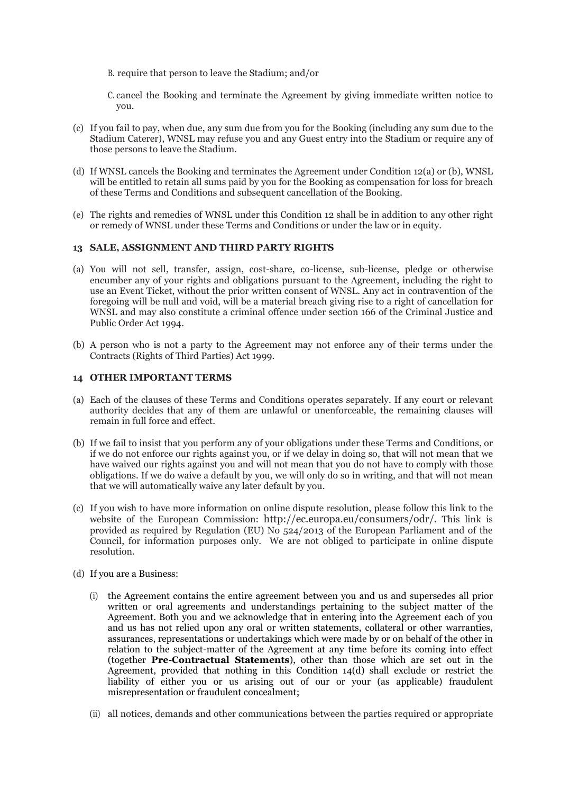- B. require that person to leave the Stadium; and/or
- C. cancel the Booking and terminate the Agreement by giving immediate written notice to you.
- (c) If you fail to pay, when due, any sum due from you for the Booking (including any sum due to the Stadium Caterer), WNSL may refuse you and any Guest entry into the Stadium or require any of those persons to leave the Stadium.
- (d) If WNSL cancels the Booking and terminates the Agreement under Condition 12(a) or (b), WNSL will be entitled to retain all sums paid by you for the Booking as compensation for loss for breach of these Terms and Conditions and subsequent cancellation of the Booking.
- (e) The rights and remedies of WNSL under this Condition 12 shall be in addition to any other right or remedy of WNSL under these Terms and Conditions or under the law or in equity.

#### **13 SALE, ASSIGNMENT AND THIRD PARTY RIGHTS**

- (a) You will not sell, transfer, assign, cost-share, co-license, sub-license, pledge or otherwise encumber any of your rights and obligations pursuant to the Agreement, including the right to use an Event Ticket, without the prior written consent of WNSL. Any act in contravention of the foregoing will be null and void, will be a material breach giving rise to a right of cancellation for WNSL and may also constitute a criminal offence under section 166 of the Criminal Justice and Public Order Act 1994.
- (b) A person who is not a party to the Agreement may not enforce any of their terms under the Contracts (Rights of Third Parties) Act 1999.

#### **14 OTHER IMPORTANT TERMS**

- (a) Each of the clauses of these Terms and Conditions operates separately. If any court or relevant authority decides that any of them are unlawful or unenforceable, the remaining clauses will remain in full force and effect.
- (b) If we fail to insist that you perform any of your obligations under these Terms and Conditions, or if we do not enforce our rights against you, or if we delay in doing so, that will not mean that we have waived our rights against you and will not mean that you do not have to comply with those obligations. If we do waive a default by you, we will only do so in writing, and that will not mean that we will automatically waive any later default by you.
- (c) If you wish to have more information on online dispute resolution, please follow this link to the website of the European Commission: [http://ec.europa.eu/consumers/odr/.](http://ec.europa.eu/consumers/odr/) This link is provided as required by Regulation (EU) No  $524/2013$  of the European Parliament and of the Council, for information purposes only. We are not obliged to participate in online dispute resolution.
- (d) If you are a Business:
	- (i) the Agreement contains the entire agreement between you and us and supersedes all prior written or oral agreements and understandings pertaining to the subject matter of the Agreement. Both you and we acknowledge that in entering into the Agreement each of you and us has not relied upon any oral or written statements, collateral or other warranties, assurances, representations or undertakings which were made by or on behalf of the other in relation to the subject-matter of the Agreement at any time before its coming into effect (together **Pre-Contractual Statements**), other than those which are set out in the Agreement, provided that nothing in this Condition 14(d) shall exclude or restrict the liability of either you or us arising out of our or your (as applicable) fraudulent misrepresentation or fraudulent concealment;
	- (ii) all notices, demands and other communications between the parties required or appropriate